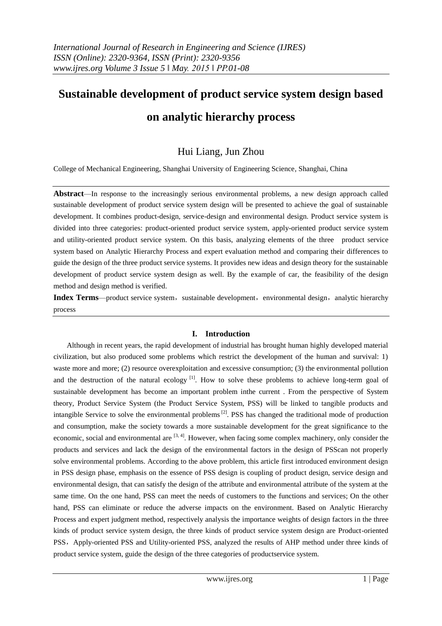# **Sustainable development of product service system design based**

# **on analytic hierarchy process**

## Hui Liang, Jun Zhou

College of Mechanical Engineering, Shanghai University of Engineering Science, Shanghai, China

**Abstract**—In response to the increasingly serious environmental problems, a new design approach called sustainable development of product service system design will be presented to achieve the goal of sustainable development. It combines product-design, service-design and environmental design. Product service system is divided into three categories: product-oriented product service system, apply-oriented product service system and utility-oriented product service system. On this basis, analyzing elements of the three product service system based on Analytic Hierarchy Process and expert evaluation method and comparing their differences to guide the design of the three product service systems. It provides new ideas and design theory for the sustainable development of product service system design as well. By the example of car, the feasibility of the design method and design method is verified.

**Index Terms**—product service system, sustainable development, environmental design, analytic hierarchy process

## **I. Introduction**

Although in recent years, the rapid development of industrial has brought human highly developed material civilization, but also produced some problems which restrict the development of the human and survival: 1) waste more and more; (2) resource overexploitation and excessive consumption; (3) the environmental pollution and the destruction of the natural ecology  $[1]$ . How to solve these problems to achieve long-term goal of sustainable development has become an important problem inthe current . From the perspective of System theory, Product Service System (the Product Service System, PSS) will be linked to tangible products and intangible Service to solve the environmental problems<sup>[2]</sup>. PSS has changed the traditional mode of production and consumption, make the society towards a more sustainable development for the great significance to the economic, social and environmental are  $[3, 4]$ . However, when facing some complex machinery, only consider the products and services and lack the design of the environmental factors in the design of PSScan not properly solve environmental problems. According to the above problem, this article first introduced environment design in PSS design phase, emphasis on the essence of PSS design is coupling of product design, service design and environmental design, that can satisfy the design of the attribute and environmental attribute of the system at the same time. On the one hand, PSS can meet the needs of customers to the functions and services; On the other hand, PSS can eliminate or reduce the adverse impacts on the environment. Based on Analytic Hierarchy Process and expert judgment method, respectively analysis the importance weights of design factors in the three kinds of product service system design, the three kinds of product service system design are Product-oriented PSS, Apply-oriented PSS and Utility-oriented PSS, analyzed the results of AHP method under three kinds of product service system, guide the design of the three categories of productservice system.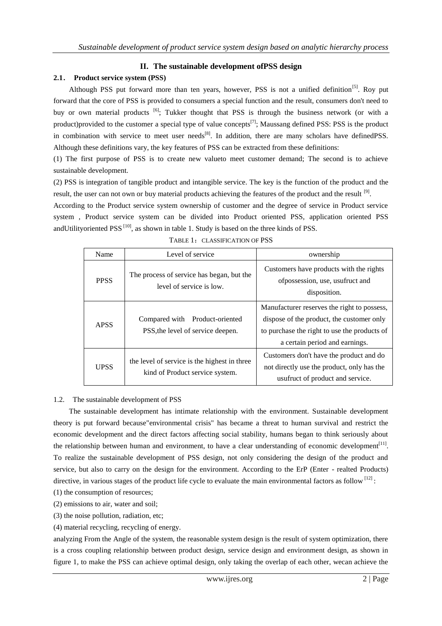## **II. The sustainable development ofPSS design**

## **2.1**. **Product service system (PSS)**

Although PSS put forward more than ten years, however, PSS is not a unified definition<sup>[5]</sup>. Roy put forward that the core of PSS is provided to consumers a special function and the result, consumers don't need to buy or own material products <sup>[6]</sup>; Tukker thought that PSS is through the business network (or with a product)provided to the customer a special type of value concepts<sup>[7]</sup>; Maussang defined PSS: PSS is the product in combination with service to meet user needs<sup>[8]</sup>. In addition, there are many scholars have definedPSS. Although these definitions vary, the key features of PSS can be extracted from these definitions:

(1) The first purpose of PSS is to create new valueto meet customer demand; The second is to achieve sustainable development.

(2) PSS is integration of tangible product and intangible service. The key is the function of the product and the result, the user can not own or buy material products achieving the features of the product and the result <sup>[9]</sup>.

According to the Product service system ownership of customer and the degree of service in Product service system , Product service system can be divided into Product oriented PSS, application oriented PSS andUtilityoriented PSS  $^{[10]}$ , as shown in table 1. Study is based on the three kinds of PSS.

| Name        | Level of service                                                                | ownership                                                                                                                                                                  |  |  |
|-------------|---------------------------------------------------------------------------------|----------------------------------------------------------------------------------------------------------------------------------------------------------------------------|--|--|
| <b>PPSS</b> | The process of service has began, but the<br>level of service is low.           | Customers have products with the rights<br>of possession, use, usufruct and<br>disposition.                                                                                |  |  |
| <b>APSS</b> | Compared with Product-oriented<br>PSS, the level of service deepen.             | Manufacturer reserves the right to possess,<br>dispose of the product, the customer only<br>to purchase the right to use the products of<br>a certain period and earnings. |  |  |
| <b>UPSS</b> | the level of service is the highest in three<br>kind of Product service system. | Customers don't have the product and do<br>not directly use the product, only has the<br>usufruct of product and service.                                                  |  |  |

| TABLE 1: CLASSIFICATION OF PSS |  |
|--------------------------------|--|
|                                |  |

## 1.2. The sustainable development of PSS

The sustainable development has intimate relationship with the environment. Sustainable development theory is put forward because"environmental crisis" has became a threat to human survival and restrict the economic development and the direct factors affecting social stability, humans began to think seriously about the relationship between human and environment, to have a clear understanding of economic development $[11]$ . To realize the sustainable development of PSS design, not only considering the design of the product and service, but also to carry on the design for the environment. According to the ErP (Enter - realted Products) directive, in various stages of the product life cycle to evaluate the main environmental factors as follow <sup>[12]</sup>:

- (1) the consumption of resources;
- (2) emissions to air, water and soil;
- (3) the noise pollution, radiation, etc;

(4) material recycling, recycling of energy.

analyzing From the Angle of the system, the reasonable system design is the result of system optimization, there is a cross coupling relationship between product design, service design and environment design, as shown in figure 1, to make the PSS can achieve optimal design, only taking the overlap of each other, wecan achieve the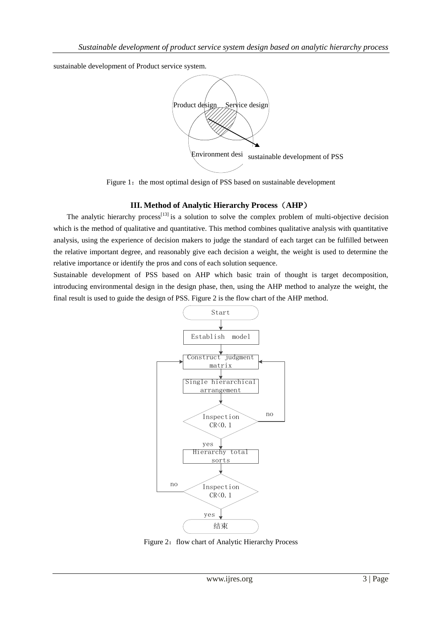sustainable development of Product service system.



Figure 1: the most optimal design of PSS based on sustainable development

## **III. Method of Analytic Hierarchy Process**(**AHP**)

The analytic hierarchy process<sup>[13]</sup> is a solution to solve the complex problem of multi-objective decision which is the method of qualitative and quantitative. This method combines qualitative analysis with quantitative analysis, using the experience of decision makers to judge the standard of each target can be fulfilled between the relative important degree, and reasonably give each decision a weight, the weight is used to determine the relative importance or identify the pros and cons of each solution sequence.

Sustainable development of PSS based on AHP which basic train of thought is target decomposition, introducing environmental design in the design phase, then, using the AHP method to analyze the weight, the final result is used to guide the design of PSS. Figure 2 is the flow chart of the AHP method.



Figure 2: flow chart of Analytic Hierarchy Process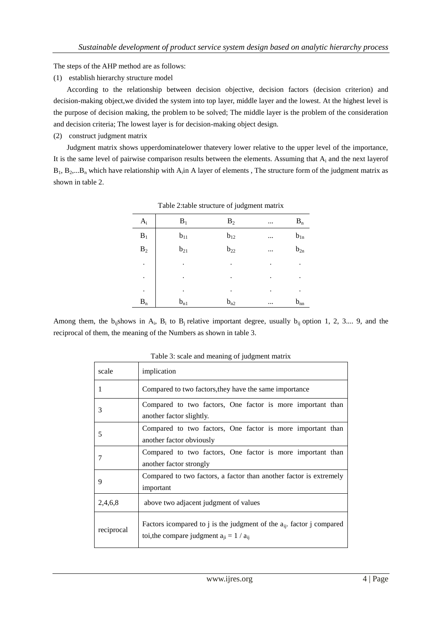The steps of the AHP method are as follows:

(1) establish hierarchy structure model

According to the relationship between decision objective, decision factors (decision criterion) and decision-making object,we divided the system into top layer, middle layer and the lowest. At the highest level is the purpose of decision making, the problem to be solved; The middle layer is the problem of the consideration and decision criteria; The lowest layer is for decision-making object design.

(2) construct judgment matrix

Judgment matrix shows upperdominatelower thatevery lower relative to the upper level of the importance, It is the same level of pairwise comparison results between the elements. Assuming that  $A_i$  and the next layerof  $B_1, B_2,...B_n$  which have relationship with  $A_i$ in A layer of elements, The structure form of the judgment matrix as shown in table 2.

| $A_i$                   | $B_1$    | B <sub>2</sub> | $\cdots$ | $B_n$    |
|-------------------------|----------|----------------|----------|----------|
| $B_1$                   | $b_{11}$ | $b_{12}$       |          | $b_{1n}$ |
| $\mathbf{B}_2$          | $b_{21}$ | $b_{22}$       | $\cdots$ | $b_{2n}$ |
| $\bullet$               | ٠        | ٠              | ٠        | ٠        |
| ٠                       | ٠        | ٠              | ۰        | ٠        |
| $\bullet$               | ٠        | ٠              | ۰        | ٠        |
| $\mathbf{B}_\mathrm{n}$ | $b_{n1}$ | $b_{n2}$       | $\cdots$ | $b_{nn}$ |

Table 2:table structure of judgment matrix

Among them, the b<sub>ij</sub>shows in  $A_i$ ,  $B_i$  to  $B_j$  relative important degree, usually b<sub>ij</sub> option 1, 2, 3.... 9, and the reciprocal of them, the meaning of the Numbers as shown in table 3.

| scale      | implication                                                                                                               |  |  |  |  |  |
|------------|---------------------------------------------------------------------------------------------------------------------------|--|--|--|--|--|
|            | Compared to two factors, they have the same importance                                                                    |  |  |  |  |  |
| 3          | Compared to two factors, One factor is more important than<br>another factor slightly.                                    |  |  |  |  |  |
| 5          | Compared to two factors, One factor is more important than<br>another factor obviously                                    |  |  |  |  |  |
|            | Compared to two factors, One factor is more important than<br>another factor strongly                                     |  |  |  |  |  |
| 9          | Compared to two factors, a factor than another factor is extremely<br>important                                           |  |  |  |  |  |
| 2,4,6,8    | above two adjacent judgment of values                                                                                     |  |  |  |  |  |
| reciprocal | Factors icompared to j is the judgment of the $a_{ii}$ factor j compared<br>toi, the compare judgment $a_{ii} = 1/a_{ii}$ |  |  |  |  |  |

Table 3: scale and meaning of judgment matrix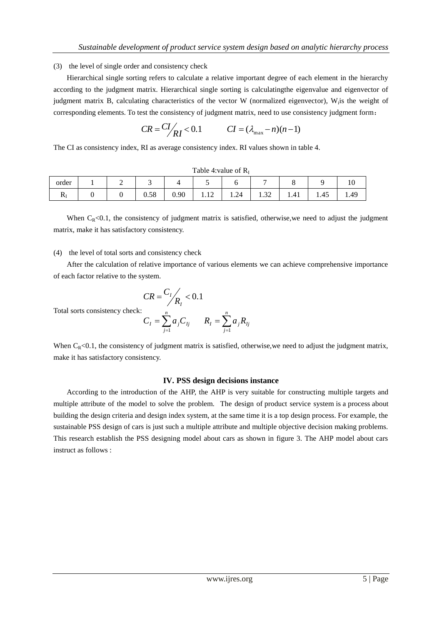## (3) the level of single order and consistency check

Hierarchical single sorting refers to calculate a relative important degree of each element in the hierarchy according to the judgment matrix. Hierarchical single sorting is calculatingthe eigenvalue and eigenvector of judgment matrix B, calculating characteristics of the vector W (normalized eigenvector), W<sub>i</sub>is the weight of corresponding elements. To test the consistency of judgment matrix, need to use consistency judgment form:

$$
CR = \frac{CI}{RI} < 0.1 \qquad CI = (\lambda_{\text{max}} - n)(n-1)
$$

The CI as consistency index, RI as average consistency index. RI values shown in table 4.

|                       | Table 4:value of $R_I$ |   |      |      |      |      |                  |      |      |      |
|-----------------------|------------------------|---|------|------|------|------|------------------|------|------|------|
| $\mathbf{r}$<br>order |                        | ∽ |      |      |      |      | -                |      |      | ΙV   |
| W                     |                        |   | 0.58 | 0.90 | 1.14 | 1.24 | $\Omega$<br>1.JZ | 1.41 | 1.45 | 1.49 |

When  $C_R < 0.1$ , the consistency of judgment matrix is satisfied, otherwise, we need to adjust the judgment matrix, make it has satisfactory consistency.

## (4) the level of total sorts and consistency check

After the calculation of relative importance of various elements we can achieve comprehensive importance of each factor relative to the system.

$$
CR = \frac{C_I}{R_I} < 0.1
$$

Total sorts consistency check:

$$
C_{I} = \sum_{j=1}^{n} a_{j} C_{Ij} \qquad R_{I} = \sum_{j=1}^{n} a_{j} R_{Ij}
$$

When  $C_R < 0.1$ , the consistency of judgment matrix is satisfied, otherwise, we need to adjust the judgment matrix, make it has satisfactory consistency.

## **IV. PSS design decisions instance**

According to the introduction of the AHP, the AHP is very suitable for constructing multiple targets and multiple attribute of the model to solve the problem. The design of product service system is a process about building the design criteria and design index system, at the same time it is a top design process. For example, the sustainable PSS design of cars is just such a multiple attribute and multiple objective decision making problems. This research establish the PSS designing model about cars as shown in figure 3. The AHP model about cars instruct as follows :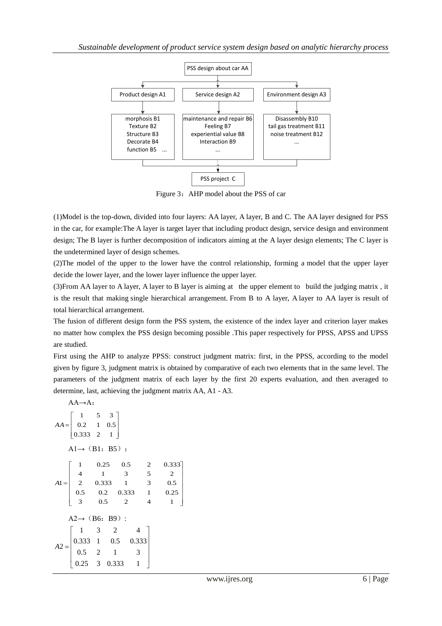

Figure 3: AHP model about the PSS of car

(1)Model is the top-down, divided into four layers: AA layer, A layer, B and C. The AA layer designed for PSS in the car, for example:The A layer is target layer that including product design, service design and environment design; The B layer is further decomposition of indicators aiming at the A layer design elements; The C layer is the undetermined layer of design schemes.

(2)The model of the upper to the lower have the control relationship, forming a model that the upper layer decide the lower layer, and the lower layer influence the upper layer.

(3)From AA layer to A layer, A layer to B layer is aiming at the upper element to build the judging matrix , it is the result that making single hierarchical arrangement. From B to A layer, A layer to AA layer is result of total hierarchical arrangement.

The fusion of different design form the PSS system, the existence of the index layer and criterion layer makes no matter how complex the PSS design becoming possible .This paper respectively for PPSS, APSS and UPSS are studied.

First using the AHP to analyze PPSS: construct judgment matrix: first, in the PPSS, according to the model given by figure 3, judgment matrix is obtained by comparative of each two elements that in the same level. The parameters of the judgment matrix of each layer by the first 20 experts evaluation, and then averaged to determine, last, achieving the judgment matrix AA, A1 - A3.

```
 AA→A:
                                  J
                                  \overline{\phantom{a}}\overline{\phantom{a}}\overline{3}\begin{bmatrix} 0.333 & 2 & 1 \end{bmatrix}L
AA = \begin{bmatrix} 0.2 & 1 & 0.5 \end{bmatrix}Г
            1 5
      Al \rightarrow (B1:B5):\overline{\phantom{a}}\mathbf{I}\mathbf{I}\overline{\phantom{a}}\overline{\phantom{a}}\overline{\phantom{a}}J
             1 0.25 0.5 2 0.333
       L
       L
       \mathbf{I}L
       \mathbf{I}\mathsf{I}L
       Γ
A1 =3 0.5 2 4 1
          0.5 0.2 0.333 1 0.25
            2 0.333 1 3 0.5
             4 1 3 5 2
      A2 \rightarrow (B6: B9):
                                                   \overline{\phantom{a}}\overline{\phantom{a}}'|
                                         0.333
                                                   」
                                                   \overline{\phantom{a}}\mathbf{r}\mathbf{r}ľ
        \begin{array}{|ccc} 0.333 & 1 & 0.5 & 0.333 \end{array}\begin{bmatrix} 0.25 & 3 & 0.333 & 1 \end{bmatrix}\mathbf{r}A2 =0.5 2 1 3
             1 3 2 4
```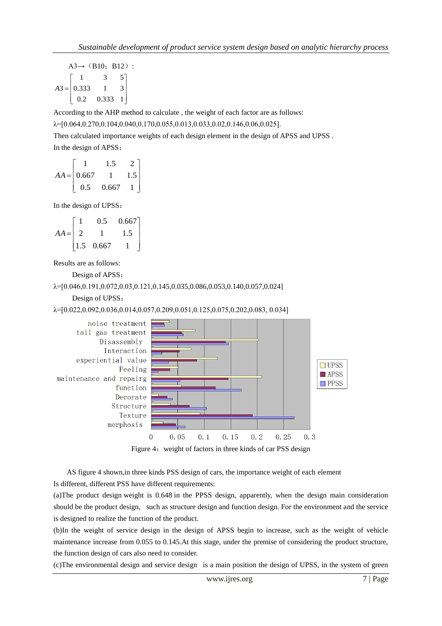$A3\rightarrow$  (B10: B12):  $[0.2 \quad 0.333 \quad 1]$  $\overline{\phantom{a}}$  $\overline{\phantom{a}}$  $5<sup>7</sup>$ L Ľ  $A3 = \begin{vmatrix} 0.333 & 1 & 3 \end{vmatrix}$ L 1 3

According to the AHP method to calculate , the weight of each factor are as follows:

 $\lambda$ =[0.064,0.270,0.104,0.040,0.170,0.055,0.013,0.033,0.02,0.146,0.06,0.025].

Then calculated importance weights of each design element in the design of APSS and UPSS .

In the design of APSS:

 $\rfloor$  $\overline{\phantom{a}}$  $\overline{\phantom{a}}$  $\overline{\phantom{a}}$ L Ľ  $AA = \begin{bmatrix} 0.667 & 1 & 1.5 \end{bmatrix}$  $\mathbf{r}$ 0.667 1 1.5 2

In the design of UPSS:

$$
AA = \begin{bmatrix} 1 & 0.5 & 0.667 \\ 2 & 1 & 1.5 \\ 1.5 & 0.667 & 1 \end{bmatrix}
$$

Results are as follows:

Design of APSS:

```
λ=[0.046,0.191,0.072,0.03,0.121,0.145,0.035,0.086,0.053,0.140,0.057,0.024]
```

```
 Design of UPSS:
```
λ=[0.022,0.092,0.036,0.014,0.057,0.209,0.051,0.125,0.075,0.202,0.083, 0.034]



Figure 4: weight of factors in three kinds of car PSS design

AS figure 4 shown,in three kinds PSS design of cars, the importance weight of each [element](file:///C:\Users\Administrator\AppData\Local\Yodao\DeskDict\frame\20150407091233\javascript:void(0);) Is different, different PSS have different requirements:

(a)The product design weight is 0.648 in the PPSS design, apparently, when the design main consideration should be the product design, such as structure design and function design. For the environment and the service is designed to realize the function of the product.

(b)In the weight of service design in the design of APSS begin to increase, such as the weight of vehicle maintenance increase from 0.055 to 0.145.At this stage, under the premise of considering the product structure, the function design of cars also need to consider.

(c)The environmental design and service design is a main position the design of UPSS, in the system of green